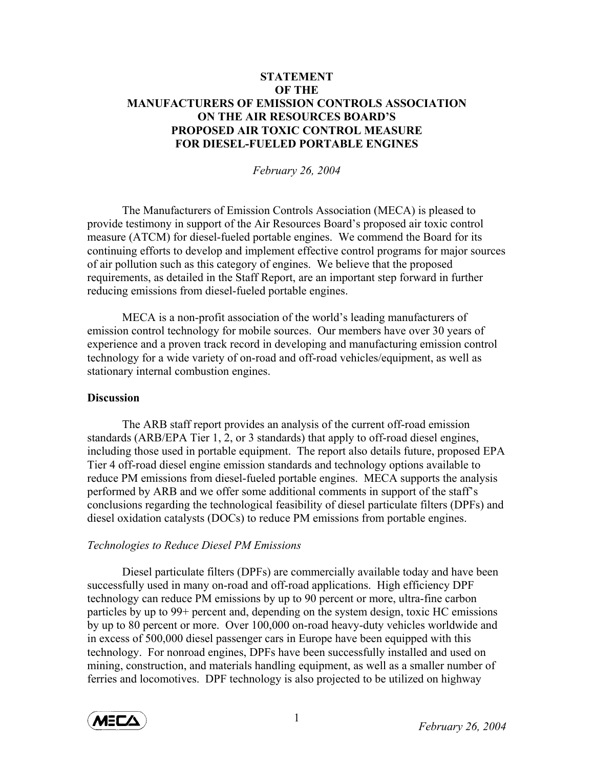# **STATEMENT OF THE MANUFACTURERS OF EMISSION CONTROLS ASSOCIATION ON THE AIR RESOURCES BOARD'S PROPOSED AIR TOXIC CONTROL MEASURE FOR DIESEL-FUELED PORTABLE ENGINES**

*February 26, 2004* 

 The Manufacturers of Emission Controls Association (MECA) is pleased to provide testimony in support of the Air Resources Board's proposed air toxic control measure (ATCM) for diesel-fueled portable engines. We commend the Board for its continuing efforts to develop and implement effective control programs for major sources of air pollution such as this category of engines. We believe that the proposed requirements, as detailed in the Staff Report, are an important step forward in further reducing emissions from diesel-fueled portable engines.

MECA is a non-profit association of the world's leading manufacturers of emission control technology for mobile sources. Our members have over 30 years of experience and a proven track record in developing and manufacturing emission control technology for a wide variety of on-road and off-road vehicles/equipment, as well as stationary internal combustion engines.

### **Discussion**

The ARB staff report provides an analysis of the current off-road emission standards (ARB/EPA Tier 1, 2, or 3 standards) that apply to off-road diesel engines, including those used in portable equipment. The report also details future, proposed EPA Tier 4 off-road diesel engine emission standards and technology options available to reduce PM emissions from diesel-fueled portable engines. MECA supports the analysis performed by ARB and we offer some additional comments in support of the staff's conclusions regarding the technological feasibility of diesel particulate filters (DPFs) and diesel oxidation catalysts (DOCs) to reduce PM emissions from portable engines.

# *Technologies to Reduce Diesel PM Emissions*

Diesel particulate filters (DPFs) are commercially available today and have been successfully used in many on-road and off-road applications. High efficiency DPF technology can reduce PM emissions by up to 90 percent or more, ultra-fine carbon particles by up to 99+ percent and, depending on the system design, toxic HC emissions by up to 80 percent or more. Over 100,000 on-road heavy-duty vehicles worldwide and in excess of 500,000 diesel passenger cars in Europe have been equipped with this technology. For nonroad engines, DPFs have been successfully installed and used on mining, construction, and materials handling equipment, as well as a smaller number of ferries and locomotives. DPF technology is also projected to be utilized on highway

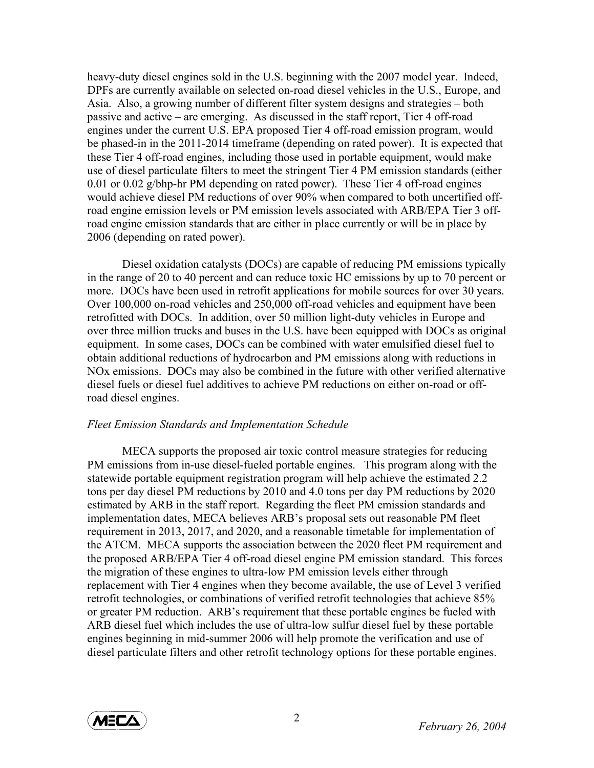heavy-duty diesel engines sold in the U.S. beginning with the 2007 model year. Indeed, DPFs are currently available on selected on-road diesel vehicles in the U.S., Europe, and Asia. Also, a growing number of different filter system designs and strategies – both passive and active – are emerging. As discussed in the staff report, Tier 4 off-road engines under the current U.S. EPA proposed Tier 4 off-road emission program, would be phased-in in the 2011-2014 timeframe (depending on rated power). It is expected that these Tier 4 off-road engines, including those used in portable equipment, would make use of diesel particulate filters to meet the stringent Tier 4 PM emission standards (either 0.01 or 0.02 g/bhp-hr PM depending on rated power). These Tier 4 off-road engines would achieve diesel PM reductions of over 90% when compared to both uncertified offroad engine emission levels or PM emission levels associated with ARB/EPA Tier 3 offroad engine emission standards that are either in place currently or will be in place by 2006 (depending on rated power).

Diesel oxidation catalysts (DOCs) are capable of reducing PM emissions typically in the range of 20 to 40 percent and can reduce toxic HC emissions by up to 70 percent or more. DOCs have been used in retrofit applications for mobile sources for over 30 years. Over 100,000 on-road vehicles and 250,000 off-road vehicles and equipment have been retrofitted with DOCs. In addition, over 50 million light-duty vehicles in Europe and over three million trucks and buses in the U.S. have been equipped with DOCs as original equipment. In some cases, DOCs can be combined with water emulsified diesel fuel to obtain additional reductions of hydrocarbon and PM emissions along with reductions in NOx emissions. DOCs may also be combined in the future with other verified alternative diesel fuels or diesel fuel additives to achieve PM reductions on either on-road or offroad diesel engines.

#### *Fleet Emission Standards and Implementation Schedule*

MECA supports the proposed air toxic control measure strategies for reducing PM emissions from in-use diesel-fueled portable engines. This program along with the statewide portable equipment registration program will help achieve the estimated 2.2 tons per day diesel PM reductions by 2010 and 4.0 tons per day PM reductions by 2020 estimated by ARB in the staff report. Regarding the fleet PM emission standards and implementation dates, MECA believes ARB's proposal sets out reasonable PM fleet requirement in 2013, 2017, and 2020, and a reasonable timetable for implementation of the ATCM. MECA supports the association between the 2020 fleet PM requirement and the proposed ARB/EPA Tier 4 off-road diesel engine PM emission standard. This forces the migration of these engines to ultra-low PM emission levels either through replacement with Tier 4 engines when they become available, the use of Level 3 verified retrofit technologies, or combinations of verified retrofit technologies that achieve 85% or greater PM reduction. ARB's requirement that these portable engines be fueled with ARB diesel fuel which includes the use of ultra-low sulfur diesel fuel by these portable engines beginning in mid-summer 2006 will help promote the verification and use of diesel particulate filters and other retrofit technology options for these portable engines.